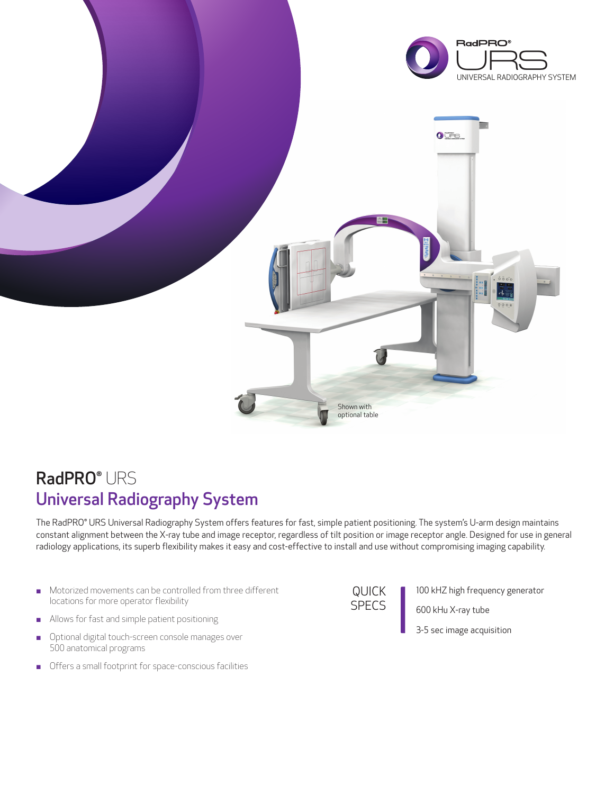

## RadPRO<sup>®</sup> URS Universal Radiography System

The RadPRO® URS Universal Radiography System offers features for fast, simple patient positioning. The system's U-arm design maintains constant alignment between the X-ray tube and image receptor, regardless of tilt position or image receptor angle. Designed for use in general radiology applications, its superb flexibility makes it easy and cost-effective to install and use without compromising imaging capability.

- Motorized movements can be controlled from three different locations for more operator flexibility
- Allows for fast and simple patient positioning
- **.** Optional digital touch-screen console manages over 500 anatomical programs
- $\blacksquare$  Offers a small footprint for space-conscious facilities

QUICK SPECS

100 kHZ high frequency generator

600 kHu X-ray tube

3-5 sec image acquisition